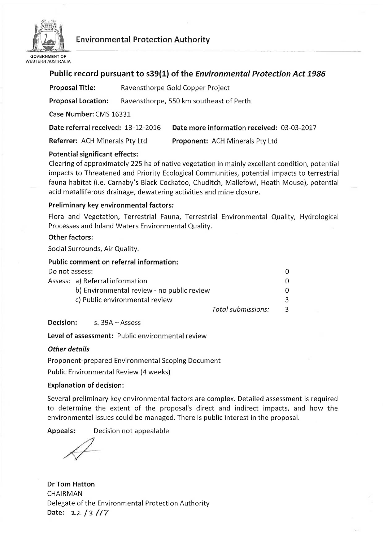

# **Environmental Protection Authority**

# **Public record pursuant to s39(l) of the** *Environmental Protection Act 1986*

| <b>Proposal Title:</b>             |                                         | Ravensthorpe Gold Copper Project           |  |  |
|------------------------------------|-----------------------------------------|--------------------------------------------|--|--|
| <b>Proposal Location:</b>          | Ravensthorpe, 550 km southeast of Perth |                                            |  |  |
| Case Number: CMS 16331             |                                         |                                            |  |  |
| Date referral received: 13-12-2016 |                                         | Date more information received: 03-03-2017 |  |  |
| Referrer: ACH Minerals Pty Ltd     |                                         | <b>Proponent: ACH Minerals Pty Ltd</b>     |  |  |

## **Potential significant effects:**

Clearing of approximately 225 ha of native vegetation in mainly excellent condition, potential impacts to Threatened and Priority Ecological Communities, potential impacts to terrestrial fauna habitat (i.e. Carnaby's Black Cockatoo, Chuditch, Mallefowl, Heath Mouse), potential acid metalliferous drainage, dewatering activities and mine closure.

### **Preliminary key environmental factors:**

Flora and Vegetation, Terrestrial Fauna, Terrestrial Environmental Quality, Hydrological Processes and Inland Waters Environmental Quality.

#### **Other factors:**

Social Surrounds, Air Quality.

### **Public comment on referral information:**

| Do not assess: |                                            |                    |               |
|----------------|--------------------------------------------|--------------------|---------------|
|                | Assess: a) Referral information            |                    |               |
|                | b) Environmental review - no public review |                    | 0.            |
|                | c) Public environmental review             |                    |               |
|                |                                            | Total submissions: | $\mathcal{R}$ |

#### **Decision:** s. 39A- Assess

**Level of assessment:** Public environmental review

## *Other details*

Proponent-prepared Environmental Scoping Document

Public Environmental Review (4 weeks)

#### **Explanation of decision:**

Several preliminary key environmental factors are complex. Detailed assessment is required to determine the extent of the proposal's direct and indirect impacts, and how the environmental issues could be managed. There is public interest in the proposal.

**Appeals:** Decision not appealable

**Dr Tom Hatton**  CHAIRMAN Delegate of the Environmental Protection Authority Date: 22 / 3 / / 7